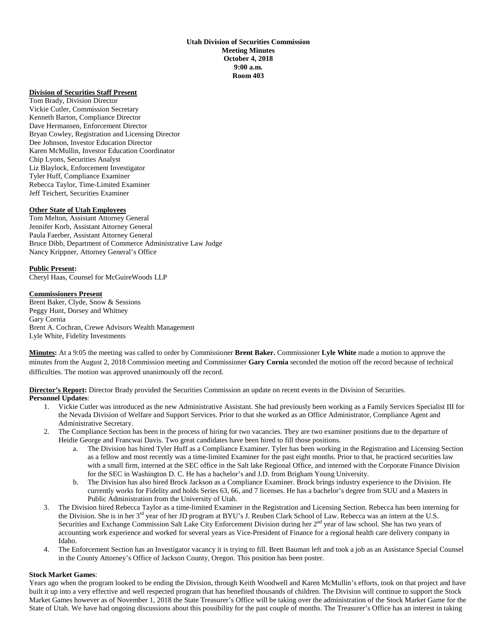#### **Utah Division of Securities Commission Meeting Minutes October 4, 2018 9:00 a.m. Room 403**

#### **Division of Securities Staff Present**

Tom Brady, Division Director Vickie Cutler, Commission Secretary Kenneth Barton, Compliance Director Dave Hermansen, Enforcement Director Bryan Cowley, Registration and Licensing Director Dee Johnson, Investor Education Director Karen McMullin, Investor Education Coordinator Chip Lyons, Securities Analyst Liz Blaylock, Enforcement Investigator Tyler Huff, Compliance Examiner Rebecca Taylor, Time-Limited Examiner Jeff Teichert, Securities Examiner

#### **Other State of Utah Employees**

Tom Melton, Assistant Attorney General Jennifer Korb, Assistant Attorney General Paula Faerber, Assistant Attorney General Bruce Dibb, Department of Commerce Administrative Law Judge Nancy Krippner, Attorney General's Office

**Public Present:**  Cheryl Haas, Counsel for McGuireWoods LLP

**Commissioners Present**  Brent Baker, Clyde, Snow & Sessions Peggy Hunt, Dorsey and Whitney Gary Cornia Brent A. Cochran, Crewe Advisors Wealth Management Lyle White, Fidelity Investments

**Minutes:** At a 9:05 the meeting was called to order by Commissioner **Brent Baker.** Commissioner **Lyle White** made a motion to approve the minutes from the August 2, 2018 Commission meeting and Commissioner **Gary Cornia** seconded the motion off the record because of technical difficulties. The motion was approved unanimously off the record.

**Director's Report:** Director Brady provided the Securities Commission an update on recent events in the Division of Securities. **Personnel Updates**:

- 1. Vickie Cutler was introduced as the new Administrative Assistant. She had previously been working as a Family Services Specialist III for the Nevada Division of Welfare and Support Services. Prior to that she worked as an Office Administrator, Compliance Agent and Administrative Secretary.
- 2. The Compliance Section has been in the process of hiring for two vacancies. They are two examiner positions due to the departure of Heidie George and Francwai Davis. Two great candidates have been hired to fill those positions.
	- a. The Division has hired Tyler Huff as a Compliance Examiner. Tyler has been working in the Registration and Licensing Section as a fellow and most recently was a time-limited Examiner for the past eight months. Prior to that, he practiced securities law with a small firm, interned at the SEC office in the Salt lake Regional Office, and interned with the Corporate Finance Division for the SEC in Washington D. C. He has a bachelor's and J.D. from Brigham Young University.
	- b. The Division has also hired Brock Jackson as a Compliance Examiner. Brock brings industry experience to the Division. He currently works for Fidelity and holds Series 63, 66, and 7 licenses. He has a bachelor's degree from SUU and a Masters in Public Administration from the University of Utah.
- 3. The Division hired Rebecca Taylor as a time-limited Examiner in the Registration and Licensing Section. Rebecca has been interning for the Division. She is in her 3<sup>rd</sup> year of her JD program at BYU's J. Reuben Clark School of Law. Rebecca was an intern at the U.S. Securities and Exchange Commission Salt Lake City Enforcement Division during her 2<sup>nd</sup> year of law school. She has two years of accounting work experience and worked for several years as Vice-President of Finance for a regional health care delivery company in Idaho.
- 4. The Enforcement Section has an Investigator vacancy it is trying to fill. Brett Bauman left and took a job as an Assistance Special Counsel in the County Attorney's Office of Jackson County, Oregon. This position has been poster.

#### **Stock Market Games**:

Years ago when the program looked to be ending the Division, through Keith Woodwell and Karen McMullin's efforts, took on that project and have built it up into a very effective and well respected program that has benefited thousands of children. The Division will continue to support the Stock Market Games however as of November 1, 2018 the State Treasurer's Office will be taking over the administration of the Stock Market Game for the State of Utah. We have had ongoing discussions about this possibility for the past couple of months. The Treasurer's Office has an interest in taking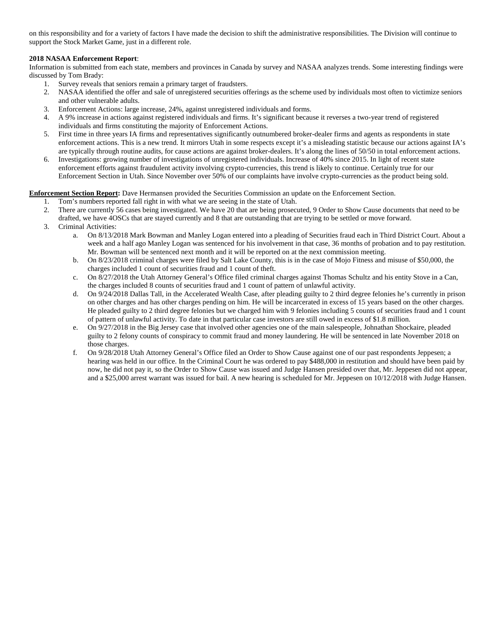on this responsibility and for a variety of factors I have made the decision to shift the administrative responsibilities. The Division will continue to support the Stock Market Game, just in a different role.

# **2018 NASAA Enforcement Report**:

Information is submitted from each state, members and provinces in Canada by survey and NASAA analyzes trends. Some interesting findings were discussed by Tom Brady:

- 1. Survey reveals that seniors remain a primary target of fraudsters.
- 2. NASAA identified the offer and sale of unregistered securities offerings as the scheme used by individuals most often to victimize seniors and other vulnerable adults.
- 3. Enforcement Actions: large increase, 24%, against unregistered individuals and forms.
- 4. A 9% increase in actions against registered individuals and firms. It's significant because it reverses a two-year trend of registered individuals and firms constituting the majority of Enforcement Actions.
- 5. First time in three years IA firms and representatives significantly outnumbered broker-dealer firms and agents as respondents in state enforcement actions. This is a new trend. It mirrors Utah in some respects except it's a misleading statistic because our actions against IA's are typically through routine audits, for cause actions are against broker-dealers. It's along the lines of 50/50 in total enforcement actions.
- 6. Investigations: growing number of investigations of unregistered individuals. Increase of 40% since 2015. In light of recent state enforcement efforts against fraudulent activity involving crypto-currencies, this trend is likely to continue. Certainly true for our Enforcement Section in Utah. Since November over 50% of our complaints have involve crypto-currencies as the product being sold.

**Enforcement Section Report:** Dave Hermansen provided the Securities Commission an update on the Enforcement Section.

- 1. Tom's numbers reported fall right in with what we are seeing in the state of Utah.
- 2. There are currently 56 cases being investigated. We have 20 that are being prosecuted, 9 Order to Show Cause documents that need to be drafted, we have 4OSCs that are stayed currently and 8 that are outstanding that are trying to be settled or move forward.
- 3. Criminal Activities:
	- a. On 8/13/2018 Mark Bowman and Manley Logan entered into a pleading of Securities fraud each in Third District Court. About a week and a half ago Manley Logan was sentenced for his involvement in that case, 36 months of probation and to pay restitution. Mr. Bowman will be sentenced next month and it will be reported on at the next commission meeting.
	- b. On 8/23/2018 criminal charges were filed by Salt Lake County, this is in the case of Mojo Fitness and misuse of \$50,000, the charges included 1 count of securities fraud and 1 count of theft.
	- c. On 8/27/2018 the Utah Attorney General's Office filed criminal charges against Thomas Schultz and his entity Stove in a Can, the charges included 8 counts of securities fraud and 1 count of pattern of unlawful activity.
	- d. On 9/24/2018 Dallas Tall, in the Accelerated Wealth Case, after pleading guilty to 2 third degree felonies he's currently in prison on other charges and has other charges pending on him. He will be incarcerated in excess of 15 years based on the other charges. He pleaded guilty to 2 third degree felonies but we charged him with 9 felonies including 5 counts of securities fraud and 1 count of pattern of unlawful activity. To date in that particular case investors are still owed in excess of \$1.8 million.
	- e. On 9/27/2018 in the Big Jersey case that involved other agencies one of the main salespeople, Johnathan Shockaire, pleaded guilty to 2 felony counts of conspiracy to commit fraud and money laundering. He will be sentenced in late November 2018 on those charges.
	- f. On 9/28/2018 Utah Attorney General's Office filed an Order to Show Cause against one of our past respondents Jeppesen; a hearing was held in our office. In the Criminal Court he was ordered to pay \$488,000 in restitution and should have been paid by now, he did not pay it, so the Order to Show Cause was issued and Judge Hansen presided over that, Mr. Jeppesen did not appear, and a \$25,000 arrest warrant was issued for bail. A new hearing is scheduled for Mr. Jeppesen on 10/12/2018 with Judge Hansen.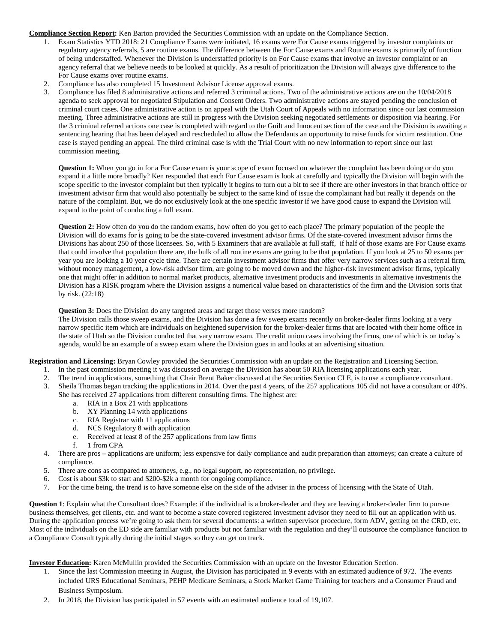**Compliance Section Report:** Ken Barton provided the Securities Commission with an update on the Compliance Section.

- 1. Exam Statistics YTD 2018: 21 Compliance Exams were initiated, 16 exams were For Cause exams triggered by investor complaints or regulatory agency referrals, 5 are routine exams. The difference between the For Cause exams and Routine exams is primarily of function of being understaffed. Whenever the Division is understaffed priority is on For Cause exams that involve an investor complaint or an agency referral that we believe needs to be looked at quickly. As a result of prioritization the Division will always give difference to the For Cause exams over routine exams.
- 2. Compliance has also completed 15 Investment Advisor License approval exams.
- 3. Compliance has filed 8 administrative actions and referred 3 criminal actions. Two of the administrative actions are on the 10/04/2018 agenda to seek approval for negotiated Stipulation and Consent Orders. Two administrative actions are stayed pending the conclusion of criminal court cases. One administrative action is on appeal with the Utah Court of Appeals with no information since our last commission meeting. Three administrative actions are still in progress with the Division seeking negotiated settlements or disposition via hearing. For the 3 criminal referred actions one case is completed with regard to the Guilt and Innocent section of the case and the Division is awaiting a sentencing hearing that has been delayed and rescheduled to allow the Defendants an opportunity to raise funds for victim restitution. One case is stayed pending an appeal. The third criminal case is with the Trial Court with no new information to report since our last commission meeting.

**Question 1:** When you go in for a For Cause exam is your scope of exam focused on whatever the complaint has been doing or do you expand it a little more broadly? Ken responded that each For Cause exam is look at carefully and typically the Division will begin with the scope specific to the investor complaint but then typically it begins to turn out a bit to see if there are other investors in that branch office or investment advisor firm that would also potentially be subject to the same kind of issue the complainant had but really it depends on the nature of the complaint. But, we do not exclusively look at the one specific investor if we have good cause to expand the Division will expand to the point of conducting a full exam.

**Question 2:** How often do you do the random exams, how often do you get to each place? The primary population of the people the Division will do exams for is going to be the state-covered investment advisor firms. Of the state-covered investment advisor firms the Divisions has about 250 of those licensees. So, with 5 Examiners that are available at full staff, if half of those exams are For Cause exams that could involve that population there are, the bulk of all routine exams are going to be that population. If you look at 25 to 50 exams per year you are looking a 10 year cycle time. There are certain investment advisor firms that offer very narrow services such as a referral firm, without money management, a low-risk advisor firm, are going to be moved down and the higher-risk investment advisor firms, typically one that might offer in addition to normal market products, alternative investment products and investments in alternative investments the Division has a RISK program where the Division assigns a numerical value based on characteristics of the firm and the Division sorts that by risk. (22:18)

**Question 3:** Does the Division do any targeted areas and target those verses more random?

The Division calls those sweep exams, and the Division has done a few sweep exams recently on broker-dealer firms looking at a very narrow specific item which are individuals on heightened supervision for the broker-dealer firms that are located with their home office in the state of Utah so the Division conducted that vary narrow exam. The credit union cases involving the firms, one of which is on today's agenda, would be an example of a sweep exam where the Division goes in and looks at an advertising situation.

**Registration and Licensing:** Bryan Cowley provided the Securities Commission with an update on the Registration and Licensing Section.

- 1. In the past commission meeting it was discussed on average the Division has about 50 RIA licensing applications each year.
- 2. The trend in applications, something that Chair Brent Baker discussed at the Securities Section CLE, is to use a compliance consultant.
- 3. Sheila Thomas began tracking the applications in 2014. Over the past 4 years, of the 257 applications 105 did not have a consultant or 40%. She has received 27 applications from different consulting firms. The highest are:
	- a. RIA in a Box 21 with applications
	- b. XY Planning 14 with applications
	- c. RIA Registrar with 11 applications
	- d. NCS Regulatory 8 with application
	- e. Received at least 8 of the 257 applications from law firms
	- f. 1 from CPA
- 4. There are pros applications are uniform; less expensive for daily compliance and audit preparation than attorneys; can create a culture of compliance.
- 5. There are cons as compared to attorneys, e.g., no legal support, no representation, no privilege.
- 6. Cost is about \$3k to start and \$200-\$2k a month for ongoing compliance.
- 7. For the time being, the trend is to have someone else on the side of the adviser in the process of licensing with the State of Utah.

**Question 1**: Explain what the Consultant does? Example: if the individual is a broker-dealer and they are leaving a broker-dealer firm to pursue business themselves, get clients, etc. and want to become a state covered registered investment advisor they need to fill out an application with us. During the application process we're going to ask them for several documents: a written supervisor procedure, form ADV, getting on the CRD, etc. Most of the individuals on the ED side are familiar with products but not familiar with the regulation and they'll outsource the compliance function to a Compliance Consult typically during the initial stages so they can get on track.

**Investor Education:** Karen McMullin provided the Securities Commission with an update on the Investor Education Section.

- 1. Since the last Commission meeting in August, the Division has participated in 9 events with an estimated audience of 972. The events included URS Educational Seminars, PEHP Medicare Seminars, a Stock Market Game Training for teachers and a Consumer Fraud and Business Symposium.
- 2. In 2018, the Division has participated in 57 events with an estimated audience total of 19,107.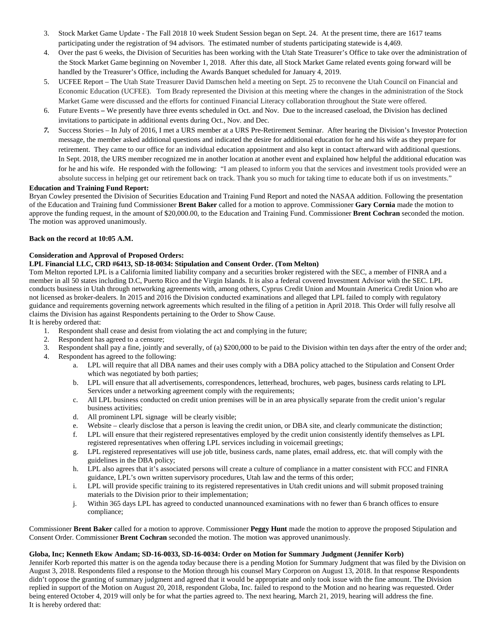- 3. Stock Market Game Update The Fall 2018 10 week Student Session began on Sept. 24. At the present time, there are 1617 teams participating under the registration of 94 advisors. The estimated number of students participating statewide is 4,469.
- 4. Over the past 6 weeks, the Division of Securities has been working with the Utah State Treasurer's Office to take over the administration of the Stock Market Game beginning on November 1, 2018. After this date, all Stock Market Game related events going forward will be handled by the Treasurer's Office, including the Awards Banquet scheduled for January 4, 2019.
- 5. UCFEE Report The Utah State Treasurer David Damschen held a meeting on Sept. 25 to reconvene the Utah Council on Financial and Economic Education (UCFEE). Tom Brady represented the Division at this meeting where the changes in the administration of the Stock Market Game were discussed and the efforts for continued Financial Literacy collaboration throughout the State were offered.
- 6. Future Events **–** We presently have three events scheduled in Oct. and Nov. Due to the increased caseload, the Division has declined invitations to participate in additional events during Oct., Nov. and Dec.
- *7.* Success Stories In July of 2016, I met a URS member at a URS Pre-Retirement Seminar. After hearing the Division's Investor Protection message, the member asked additional questions and indicated the desire for additional education for he and his wife as they prepare for retirement. They came to our office for an individual education appointment and also kept in contact afterward with additional questions. In Sept. 2018, the URS member recognized me in another location at another event and explained how helpful the additional education was for he and his wife. He responded with the following: "I am pleased to inform you that the services and investment tools provided were an absolute success in helping get our retirement back on track. Thank you so much for taking time to educate both if us on investments."

### **Education and Training Fund Report:**

Bryan Cowley presented the Division of Securities Education and Training Fund Report and noted the NASAA addition. Following the presentation of the Education and Training fund Commissioner **Brent Baker** called for a motion to approve. Commissioner **Gary Cornia** made the motion to approve the funding request, in the amount of \$20,000.00, to the Education and Training Fund. Commissioner **Brent Cochran** seconded the motion. The motion was approved unanimously.

# **Back on the record at 10:05 A.M.**

# **Consideration and Approval of Proposed Orders:**

# **LPL Financial LLC, CRD #6413, SD-18-0034: Stipulation and Consent Order. (Tom Melton)**

Tom Melton reported LPL is a California limited liability company and a securities broker registered with the SEC, a member of FINRA and a member in all 50 states including D.C, Puerto Rico and the Virgin Islands. It is also a federal covered Investment Advisor with the SEC. LPL conducts business in Utah through networking agreements with, among others, Cyprus Credit Union and Mountain America Credit Union who are not licensed as broker-dealers. In 2015 and 2016 the Division conducted examinations and alleged that LPL failed to comply with regulatory guidance and requirements governing network agreements which resulted in the filing of a petition in April 2018. This Order will fully resolve all claims the Division has against Respondents pertaining to the Order to Show Cause. It is hereby ordered that:

- 1. Respondent shall cease and desist from violating the act and complying in the future;<br>2. Respondent has agreed to a censure:
- Respondent has agreed to a censure;
- 3. Respondent shall pay a fine, jointly and severally, of (a) \$200,000 to be paid to the Division within ten days after the entry of the order and;
- 4. Respondent has agreed to the following:
	- a. LPL will require that all DBA names and their uses comply with a DBA policy attached to the Stipulation and Consent Order which was negotiated by both parties;
	- b. LPL will ensure that all advertisements, correspondences, letterhead, brochures, web pages, business cards relating to LPL Services under a networking agreement comply with the requirements;
	- c. All LPL business conducted on credit union premises will be in an area physically separate from the credit union's regular business activities;
	- d. All prominent LPL signage will be clearly visible;
	- e. Website clearly disclose that a person is leaving the credit union, or DBA site, and clearly communicate the distinction;
	- f. LPL will ensure that their registered representatives employed by the credit union consistently identify themselves as LPL registered representatives when offering LPL services including in voicemail greetings;
	- g. LPL registered representatives will use job title, business cards, name plates, email address, etc. that will comply with the guidelines in the DBA policy;
	- h. LPL also agrees that it's associated persons will create a culture of compliance in a matter consistent with FCC and FINRA guidance, LPL's own written supervisory procedures, Utah law and the terms of this order;
	- i. LPL will provide specific training to its registered representatives in Utah credit unions and will submit proposed training materials to the Division prior to their implementation;
	- j. Within 365 days LPL has agreed to conducted unannounced examinations with no fewer than 6 branch offices to ensure compliance;

Commissioner **Brent Baker** called for a motion to approve. Commissioner **Peggy Hunt** made the motion to approve the proposed Stipulation and Consent Order. Commissioner **Brent Cochran** seconded the motion. The motion was approved unanimously.

# **Globa, Inc; Kenneth Ekow Andam; SD-16-0033, SD-16-0034: Order on Motion for Summary Judgment (Jennifer Korb)**

Jennifer Korb reported this matter is on the agenda today because there is a pending Motion for Summary Judgment that was filed by the Division on August 3, 2018. Respondents filed a response to the Motion through his counsel Mary Corporon on August 13, 2018. In that response Respondents didn't oppose the granting of summary judgment and agreed that it would be appropriate and only took issue with the fine amount. The Division replied in support of the Motion on August 20, 2018, respondent Globa, Inc. failed to respond to the Motion and no hearing was requested. Order being entered October 4, 2019 will only be for what the parties agreed to. The next hearing, March 21, 2019, hearing will address the fine. It is hereby ordered that: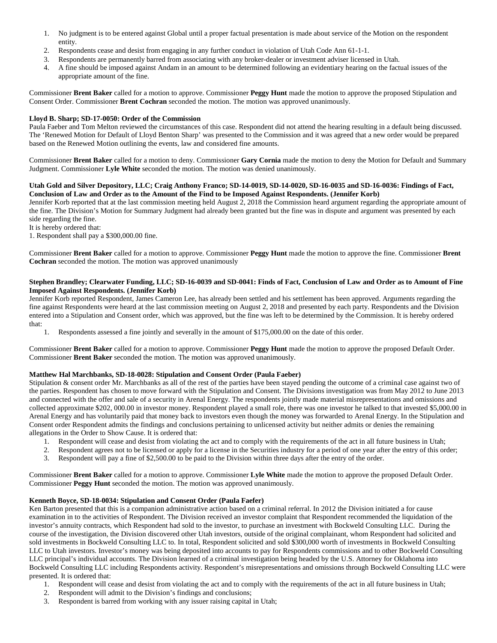- 1. No judgment is to be entered against Global until a proper factual presentation is made about service of the Motion on the respondent entity.
- 2. Respondents cease and desist from engaging in any further conduct in violation of Utah Code Ann 61-1-1.
- 3. Respondents are permanently barred from associating with any broker-dealer or investment adviser licensed in Utah.
- 4. A fine should be imposed against Andam in an amount to be determined following an evidentiary hearing on the factual issues of the appropriate amount of the fine.

Commissioner **Brent Baker** called for a motion to approve. Commissioner **Peggy Hunt** made the motion to approve the proposed Stipulation and Consent Order. Commissioner **Brent Cochran** seconded the motion. The motion was approved unanimously.

# **Lloyd B. Sharp; SD-17-0050: Order of the Commission**

Paula Faeber and Tom Melton reviewed the circumstances of this case. Respondent did not attend the hearing resulting in a default being discussed. The 'Renewed Motion for Default of Lloyd Benton Sharp' was presented to the Commission and it was agreed that a new order would be prepared based on the Renewed Motion outlining the events, law and considered fine amounts.

Commissioner **Brent Baker** called for a motion to deny. Commissioner **Gary Cornia** made the motion to deny the Motion for Default and Summary Judgment. Commissioner **Lyle White** seconded the motion. The motion was denied unanimously.

#### **Utah Gold and Silver Depository, LLC; Craig Anthony Franco; SD-14-0019, SD-14-0020, SD-16-0035 and SD-16-0036: Findings of Fact, Conclusion of Law and Order as to the Amount of the Find to be Imposed Against Respondents. (Jennifer Korb)**

Jennifer Korb reported that at the last commission meeting held August 2, 2018 the Commission heard argument regarding the appropriate amount of the fine. The Division's Motion for Summary Judgment had already been granted but the fine was in dispute and argument was presented by each side regarding the fine.

It is hereby ordered that:

1. Respondent shall pay a \$300,000.00 fine.

Commissioner **Brent Baker** called for a motion to approve. Commissioner **Peggy Hunt** made the motion to approve the fine. Commissioner **Brent Cochran** seconded the motion. The motion was approved unanimously

#### **Stephen Brandley; Clearwater Funding, LLC; SD-16-0039 and SD-0041: Finds of Fact, Conclusion of Law and Order as to Amount of Fine Imposed Against Respondents. (Jennifer Korb)**

Jennifer Korb reported Respondent, James Cameron Lee, has already been settled and his settlement has been approved. Arguments regarding the fine against Respondents were heard at the last commission meeting on August 2, 2018 and presented by each party. Respondents and the Division entered into a Stipulation and Consent order, which was approved, but the fine was left to be determined by the Commission. It is hereby ordered that:

1. Respondents assessed a fine jointly and severally in the amount of \$175,000.00 on the date of this order.

Commissioner **Brent Baker** called for a motion to approve. Commissioner **Peggy Hunt** made the motion to approve the proposed Default Order. Commissioner **Brent Baker** seconded the motion. The motion was approved unanimously.

# **Matthew Hal Marchbanks, SD-18-0028: Stipulation and Consent Order (Paula Faeber)**

Stipulation & consent order Mr. Marchbanks as all of the rest of the parties have been stayed pending the outcome of a criminal case against two of the parties. Respondent has chosen to move forward with the Stipulation and Consent. The Divisions investigation was from May 2012 to June 2013 and connected with the offer and sale of a security in Arenal Energy. The respondents jointly made material misrepresentations and omissions and collected approximate \$202, 000.00 in investor money. Respondent played a small role, there was one investor he talked to that invested \$5,000.00 in Arenal Energy and has voluntarily paid that money back to investors even though the money was forwarded to Arenal Energy. In the Stipulation and Consent order Respondent admits the findings and conclusions pertaining to unlicensed activity but neither admits or denies the remaining allegations in the Order to Show Cause. It is ordered that:

- 1. Respondent will cease and desist from violating the act and to comply with the requirements of the act in all future business in Utah;
- 2. Respondent agrees not to be licensed or apply for a license in the Securities industry for a period of one year after the entry of this order;
- 3. Respondent will pay a fine of \$2,500.00 to be paid to the Division within three days after the entry of the order.

Commissioner **Brent Baker** called for a motion to approve. Commissioner **Lyle White** made the motion to approve the proposed Default Order. Commissioner **Peggy Hunt** seconded the motion. The motion was approved unanimously.

# **Kenneth Boyce, SD-18-0034: Stipulation and Consent Order (Paula Faefer)**

Ken Barton presented that this is a companion administrative action based on a criminal referral. In 2012 the Division initiated a for cause examination in to the activities of Respondent. The Division received an investor complaint that Respondent recommended the liquidation of the investor's annuity contracts, which Respondent had sold to the investor, to purchase an investment with Bockweld Consulting LLC. During the course of the investigation, the Division discovered other Utah investors, outside of the original complainant, whom Respondent had solicited and sold investments in Bockweld Consulting LLC to. In total, Respondent solicited and sold \$300,000 worth of investments in Bockweld Consulting LLC to Utah investors. Investor's money was being deposited into accounts to pay for Respondents commissions and to other Bockweld Consulting LLC principal's individual accounts. The Division learned of a criminal investigation being headed by the U.S. Attorney for Oklahoma into Bockweld Consulting LLC including Respondents activity. Respondent's misrepresentations and omissions through Bockweld Consulting LLC were presented. It is ordered that:

- 1. Respondent will cease and desist from violating the act and to comply with the requirements of the act in all future business in Utah;
- 2. Respondent will admit to the Division's findings and conclusions;
- 3. Respondent is barred from working with any issuer raising capital in Utah;